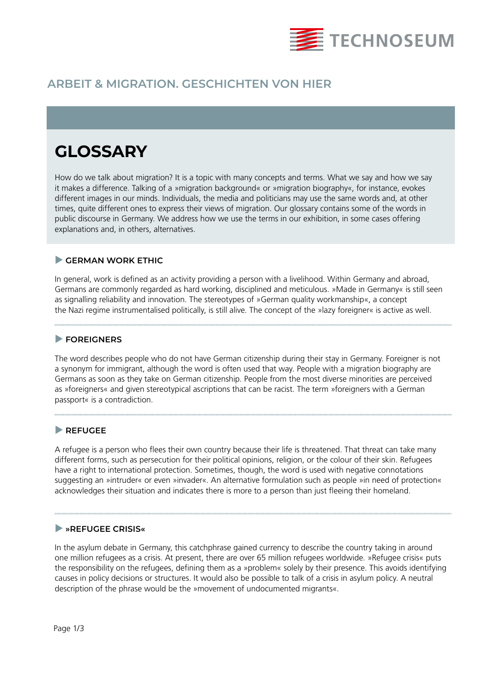

# **ARBEIT & MIGRATION. GESCHICHTEN VON HIER**

# **GLOSSARY**

How do we talk about migration? It is a topic with many concepts and terms. What we say and how we say it makes a difference. Talking of a »migration background« or »migration biography«, for instance, evokes different images in our minds. Individuals, the media and politicians may use the same words and, at other times, quite different ones to express their views of migration. Our glossary contains some of the words in public discourse in Germany. We address how we use the terms in our exhibition, in some cases offering explanations and, in others, alternatives.

#### **GERMAN WORK ETHIC**

In general, work is defined as an activity providing a person with a livelihood. Within Germany and abroad, Germans are commonly regarded as hard working, disciplined and meticulous. »Made in Germany« is still seen as signalling reliability and innovation. The stereotypes of »German quality workmanship«, a concept the Nazi regime instrumentalised politically, is still alive. The concept of the »lazy foreigner« is active as well.

# **FOREIGNERS**

The word describes people who do not have German citizenship during their stay in Germany. Foreigner is not a synonym for immigrant, although the word is often used that way. People with a migration biography are Germans as soon as they take on German citizenship. People from the most diverse minorities are perceived as »foreigners« and given stereotypical ascriptions that can be racist. The term »foreigners with a German passport« is a contradiction.

# **REFUGEE**

A refugee is a person who flees their own country because their life is threatened. That threat can take many different forms, such as persecution for their political opinions, religion, or the colour of their skin. Refugees have a right to international protection. Sometimes, though, the word is used with negative connotations suggesting an »intruder« or even »invader«. An alternative formulation such as people »in need of protection« acknowledges their situation and indicates there is more to a person than just fleeing their homeland.

# **»REFUGEE CRISIS«**

In the asylum debate in Germany, this catchphrase gained currency to describe the country taking in around one million refugees as a crisis. At present, there are over 65 million refugees worldwide. »Refugee crisis« puts the responsibility on the refugees, defining them as a »problem« solely by their presence. This avoids identifying causes in policy decisions or structures. It would also be possible to talk of a crisis in asylum policy. A neutral description of the phrase would be the »movement of undocumented migrants«.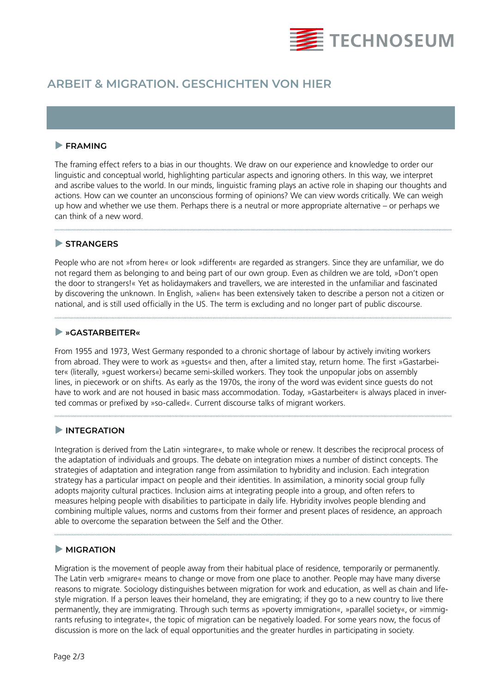

# **ARBEIT & MIGRATION. GESCHICHTEN VON HIER**

# **FRAMING**

The framing effect refers to a bias in our thoughts. We draw on our experience and knowledge to order our linguistic and conceptual world, highlighting particular aspects and ignoring others. In this way, we interpret and ascribe values to the world. In our minds, linguistic framing plays an active role in shaping our thoughts and actions. How can we counter an unconscious forming of opinions? We can view words critically. We can weigh up how and whether we use them. Perhaps there is a neutral or more appropriate alternative – or perhaps we can think of a new word.

#### **STRANGERS**

People who are not »from here« or look »different« are regarded as strangers. Since they are unfamiliar, we do not regard them as belonging to and being part of our own group. Even as children we are told, »Don't open the door to strangers!« Yet as holidaymakers and travellers, we are interested in the unfamiliar and fascinated by discovering the unknown. In English, »alien« has been extensively taken to describe a person not a citizen or national, and is still used officially in the US. The term is excluding and no longer part of public discourse.

#### **»GASTARBEITER«**

From 1955 and 1973, West Germany responded to a chronic shortage of labour by actively inviting workers from abroad. They were to work as »guests« and then, after a limited stay, return home. The first »Gastarbeiter« (literally, »guest workers«) became semi-skilled workers. They took the unpopular jobs on assembly lines, in piecework or on shifts. As early as the 1970s, the irony of the word was evident since guests do not have to work and are not housed in basic mass accommodation. Today, »Gastarbeiter« is always placed in inverted commas or prefixed by »so-called«. Current discourse talks of migrant workers.

# **INTEGRATION**

Integration is derived from the Latin »integrare«, to make whole or renew. It describes the reciprocal process of the adaptation of individuals and groups. The debate on integration mixes a number of distinct concepts. The strategies of adaptation and integration range from assimilation to hybridity and inclusion. Each integration strategy has a particular impact on people and their identities. In assimilation, a minority social group fully adopts majority cultural practices. Inclusion aims at integrating people into a group, and often refers to measures helping people with disabilities to participate in daily life. Hybridity involves people blending and combining multiple values, norms and customs from their former and present places of residence, an approach able to overcome the separation between the Self and the Other.

# **MIGRATION**

Migration is the movement of people away from their habitual place of residence, temporarily or permanently. The Latin verb »migrare« means to change or move from one place to another. People may have many diverse reasons to migrate. Sociology distinguishes between migration for work and education, as well as chain and lifestyle migration. If a person leaves their homeland, they are emigrating; if they go to a new country to live there permanently, they are immigrating. Through such terms as »poverty immigration«, »parallel society«, or »immigrants refusing to integrate«, the topic of migration can be negatively loaded. For some years now, the focus of discussion is more on the lack of equal opportunities and the greater hurdles in participating in society.